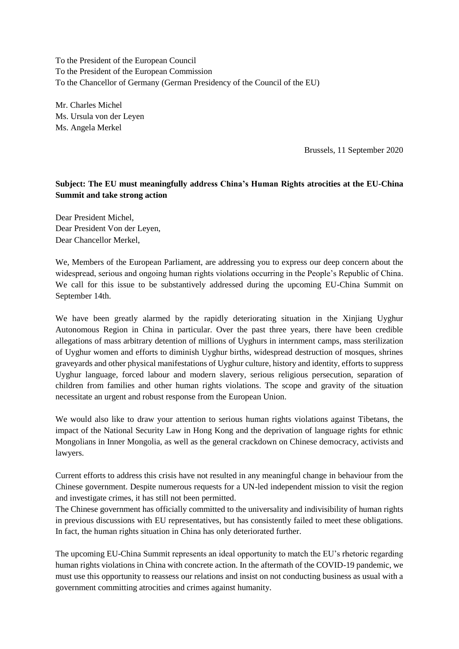To the President of the European Council To the President of the European Commission To the Chancellor of Germany (German Presidency of the Council of the EU)

Mr. Charles Michel Ms. Ursula von der Leyen Ms. Angela Merkel

Brussels, 11 September 2020

## **Subject: The EU must meaningfully address China's Human Rights atrocities at the EU-China Summit and take strong action**

Dear President Michel, Dear President Von der Leyen, Dear Chancellor Merkel,

We, Members of the European Parliament, are addressing you to express our deep concern about the widespread, serious and ongoing human rights violations occurring in the People's Republic of China. We call for this issue to be substantively addressed during the upcoming EU-China Summit on September 14th.

We have been greatly alarmed by the rapidly deteriorating situation in the Xinjiang Uyghur Autonomous Region in China in particular. Over the past three years, there have been credible allegations of mass arbitrary detention of millions of Uyghurs in internment camps, mass sterilization of Uyghur women and efforts to diminish Uyghur births, widespread destruction of mosques, shrines graveyards and other physical manifestations of Uyghur culture, history and identity, efforts to suppress Uyghur language, forced labour and modern slavery, serious religious persecution, separation of children from families and other human rights violations. The scope and gravity of the situation necessitate an urgent and robust response from the European Union.

We would also like to draw your attention to serious human rights violations against Tibetans, the impact of the National Security Law in Hong Kong and the deprivation of language rights for ethnic Mongolians in Inner Mongolia, as well as the general crackdown on Chinese democracy, activists and lawyers.

Current efforts to address this crisis have not resulted in any meaningful change in behaviour from the Chinese government. Despite numerous requests for a UN-led independent mission to visit the region and investigate crimes, it has still not been permitted.

The Chinese government has officially committed to the universality and indivisibility of human rights in previous discussions with EU representatives, but has consistently failed to meet these obligations. In fact, the human rights situation in China has only deteriorated further.

The upcoming EU-China Summit represents an ideal opportunity to match the EU's rhetoric regarding human rights violations in China with concrete action. In the aftermath of the COVID-19 pandemic, we must use this opportunity to reassess our relations and insist on not conducting business as usual with a government committing atrocities and crimes against humanity.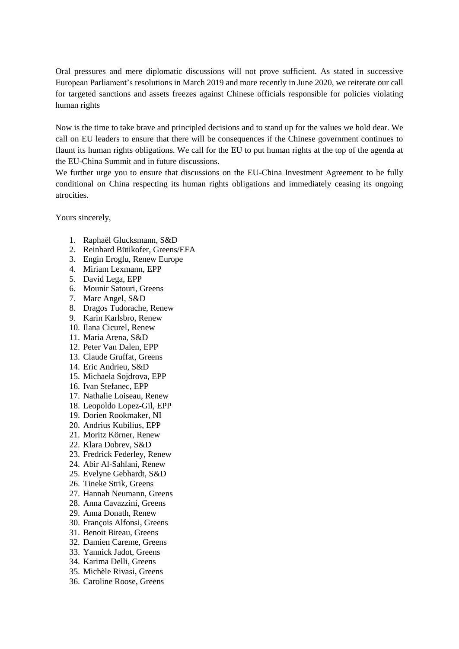Oral pressures and mere diplomatic discussions will not prove sufficient. As stated in successive European Parliament's resolutions in March 2019 and more recently in June 2020, we reiterate our call for targeted sanctions and assets freezes against Chinese officials responsible for policies violating human rights

Now is the time to take brave and principled decisions and to stand up for the values we hold dear. We call on EU leaders to ensure that there will be consequences if the Chinese government continues to flaunt its human rights obligations. We call for the EU to put human rights at the top of the agenda at the EU-China Summit and in future discussions.

We further urge you to ensure that discussions on the EU-China Investment Agreement to be fully conditional on China respecting its human rights obligations and immediately ceasing its ongoing atrocities.

Yours sincerely,

- 1. Raphaël Glucksmann, S&D
- 2. Reinhard Bütikofer, Greens/EFA
- 3. Engin Eroglu, Renew Europe
- 4. Miriam Lexmann, EPP
- 5. David Lega, EPP
- 6. Mounir Satouri, Greens
- 7. Marc Angel, S&D
- 8. Dragos Tudorache, Renew
- 9. Karin Karlsbro, Renew
- 10. Ilana Cicurel, Renew
- 11. Maria Arena, S&D
- 12. Peter Van Dalen, EPP
- 13. Claude Gruffat, Greens
- 14. Eric Andrieu, S&D
- 15. Michaela Sojdrova, EPP
- 16. Ivan Stefanec, EPP
- 17. Nathalie Loiseau, Renew
- 18. Leopoldo Lopez-Gil, EPP
- 19. Dorien Rookmaker, NI
- 20. Andrius Kubilius, EPP
- 21. Moritz Körner, Renew
- 22. Klara Dobrev, S&D
- 23. Fredrick Federley, Renew
- 24. Abir Al-Sahlani, Renew
- 25. Evelyne Gebhardt, S&D
- 26. Tineke Strik, Greens
- 27. Hannah Neumann, Greens
- 28. Anna Cavazzini, Greens
- 29. Anna Donath, Renew
- 30. François Alfonsi, Greens
- 31. Benoit Biteau, Greens
- 32. Damien Careme, Greens
- 33. Yannick Jadot, Greens
- 34. Karima Delli, Greens
- 35. Michèle Rivasi, Greens
- 36. Caroline Roose, Greens